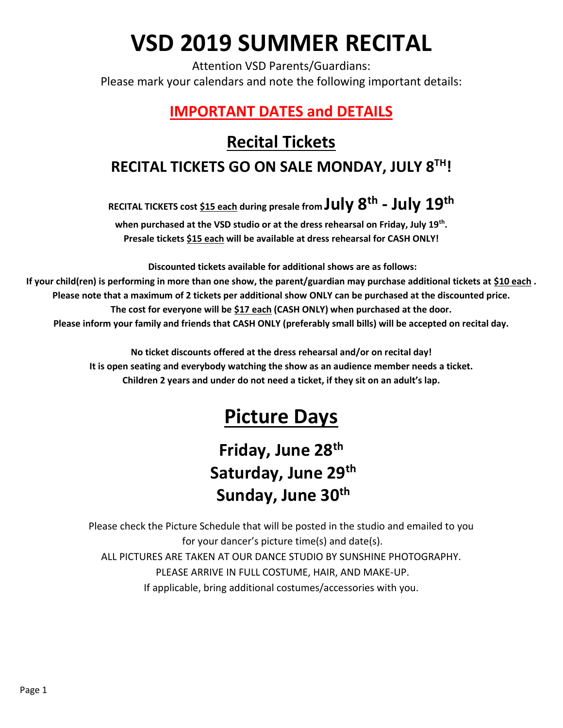# **VSD 2019 SUMMER RECITAL**

Attention VSD Parents/Guardians: Please mark your calendars and note the following important details:

### **IMPORTANT DATES and DETAILS**

### **Recital Tickets RECITAL TICKETS GO ON SALE MONDAY, JULY 8TH!**

**RECITAL TICKETS cost \$15 each during presale from July 8th - July 19th**

**when purchased at the VSD studio or at the dress rehearsal on Friday, July 19th . Presale tickets \$15 each will be available at dress rehearsal for CASH ONLY!**

**Discounted tickets available for additional shows are as follows: If your child(ren) is performing in more than one show, the parent/guardian may purchase additional tickets at \$10 each . Please note that a maximum of 2 tickets per additional show ONLY can be purchased at the discounted price. The cost for everyone will be \$17 each (CASH ONLY) when purchased at the door. Please inform your family and friends that CASH ONLY (preferably small bills) will be accepted on recital day.**

> **No ticket discounts offered at the dress rehearsal and/or on recital day! It is open seating and everybody watching the show as an audience member needs a ticket. Children 2 years and under do not need a ticket, if they sit on an adult's lap.**

## **Picture Days**

### **Friday, June 28th Saturday, June 29th Sunday, June 30th**

Please check the Picture Schedule that will be posted in the studio and emailed to you for your dancer's picture time(s) and date(s). ALL PICTURES ARE TAKEN AT OUR DANCE STUDIO BY SUNSHINE PHOTOGRAPHY. PLEASE ARRIVE IN FULL COSTUME, HAIR, AND MAKE-UP. If applicable, bring additional costumes/accessories with you.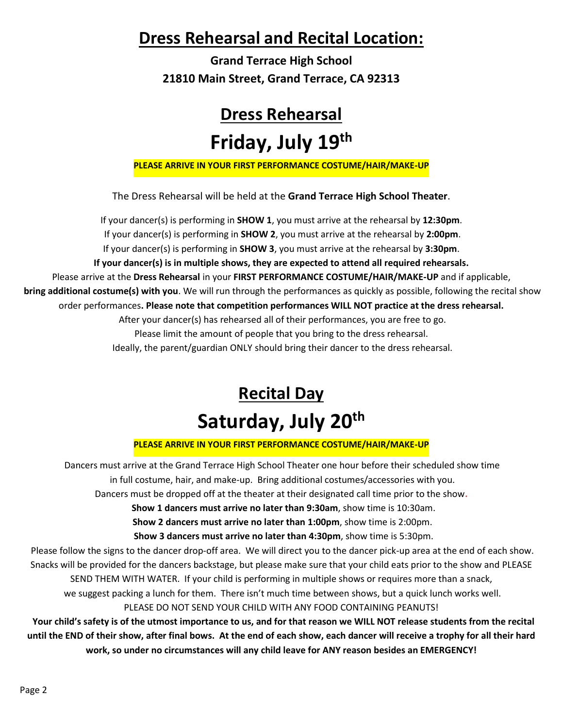### **Dress Rehearsal and Recital Location:**

**Grand Terrace High School 21810 Main Street, Grand Terrace, CA 92313**

### **Dress Rehearsal**

### **Friday, July 19th**

**PLEASE ARRIVE IN YOUR FIRST PERFORMANCE COSTUME/HAIR/MAKE-UP**

The Dress Rehearsal will be held at the **Grand Terrace High School Theater**.

If your dancer(s) is performing in **SHOW 1**, you must arrive at the rehearsal by **12:30pm**. If your dancer(s) is performing in **SHOW 2**, you must arrive at the rehearsal by **2:00pm**. If your dancer(s) is performing in **SHOW 3**, you must arrive at the rehearsal by **3:30pm**. **If your dancer(s) is in multiple shows, they are expected to attend all required rehearsals.**  Please arrive at the **Dress Rehearsal** in your **FIRST PERFORMANCE COSTUME/HAIR/MAKE-UP** and if applicable, **bring additional costume(s) with you**. We will run through the performances as quickly as possible, following the recital show order performances**. Please note that competition performances WILL NOT practice at the dress rehearsal.** After your dancer(s) has rehearsed all of their performances, you are free to go. Please limit the amount of people that you bring to the dress rehearsal. Ideally, the parent/guardian ONLY should bring their dancer to the dress rehearsal.

## **Recital Day Saturday, July 20 th**

#### **PLEASE ARRIVE IN YOUR FIRST PERFORMANCE COSTUME/HAIR/MAKE-UP**

Dancers must arrive at the Grand Terrace High School Theater one hour before their scheduled show time in full costume, hair, and make-up. Bring additional costumes/accessories with you.

Dancers must be dropped off at the theater at their designated call time prior to the show**.**

 **Show 1 dancers must arrive no later than 9:30am**, show time is 10:30am.

**Show 2 dancers must arrive no later than 1:00pm**, show time is 2:00pm.

**Show 3 dancers must arrive no later than 4:30pm**, show time is 5:30pm.

Please follow the signs to the dancer drop-off area. We will direct you to the dancer pick-up area at the end of each show. Snacks will be provided for the dancers backstage, but please make sure that your child eats prior to the show and PLEASE

SEND THEM WITH WATER. If your child is performing in multiple shows or requires more than a snack,

we suggest packing a lunch for them. There isn't much time between shows, but a quick lunch works well.

PLEASE DO NOT SEND YOUR CHILD WITH ANY FOOD CONTAINING PEANUTS!

 **Your child's safety is of the utmost importance to us, and for that reason we WILL NOT release students from the recital until the END of their show, after final bows. At the end of each show, each dancer will receive a trophy for all their hard work, so under no circumstances will any child leave for ANY reason besides an EMERGENCY!**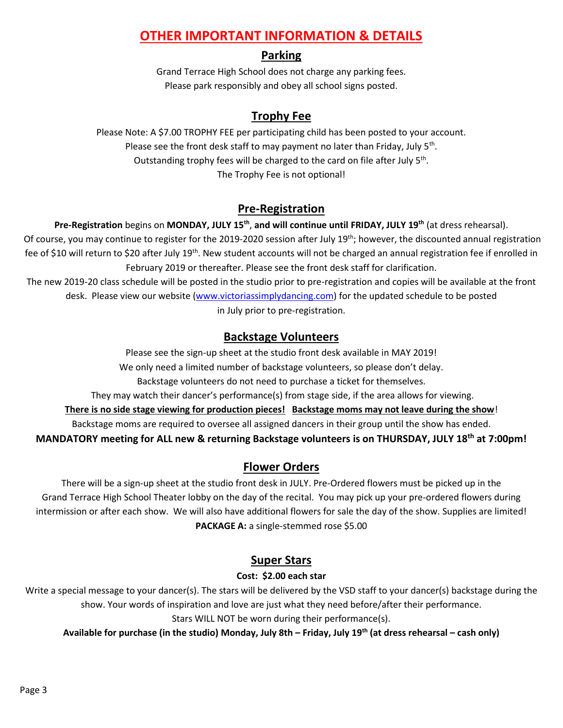#### **OTHER IMPORTANT INFORMATION & DETAILS**

#### **Parking**

Grand Terrace High School does not charge any parking fees. Please park responsibly and obey all school signs posted.

#### **Trophy Fee**

Please Note: A \$7.00 TROPHY FEE per participating child has been posted to your account. Please see the front desk staff to may payment no later than Friday, July 5<sup>th</sup>. Outstanding trophy fees will be charged to the card on file after July 5<sup>th</sup>. The Trophy Fee is not optional!

#### **Pre-Registration**

**Pre-Registration** begins on **MONDAY, JULY 15th** , **and will continue until FRIDAY, JULY 19th** (at dress rehearsal). Of course, you may continue to register for the 2019-2020 session after July 19<sup>th</sup>; however, the discounted annual registration fee of \$10 will return to \$20 after July 19<sup>th</sup>. New student accounts will not be charged an annual registration fee if enrolled in February 2019 or thereafter. Please see the front desk staff for clarification.

The new 2019-20 class schedule will be posted in the studio prior to pre-registration and copies will be available at the front desk. Please view our website [\(www.victoriassimplydancing.com\)](http://www.victoriassimplydancing.com/) for the updated schedule to be posted in July prior to pre-registration.

#### **Backstage Volunteers**

Please see the sign-up sheet at the studio front desk available in MAY 2019! We only need a limited number of backstage volunteers, so please don't delay. Backstage volunteers do not need to purchase a ticket for themselves. They may watch their dancer's performance(s) from stage side, if the area allows for viewing. **There is no side stage viewing for production pieces! Backstage moms may not leave during the show**! Backstage moms are required to oversee all assigned dancers in their group until the show has ended. **MANDATORY meeting for ALL new & returning Backstage volunteers is on THURSDAY, JULY 18th at 7:00pm!**

#### **Flower Orders**

There will be a sign-up sheet at the studio front desk in JULY. Pre-Ordered flowers must be picked up in the Grand Terrace High School Theater lobby on the day of the recital. You may pick up your pre-ordered flowers during intermission or after each show. We will also have additional flowers for sale the day of the show. Supplies are limited! **PACKAGE A:** a single-stemmed rose \$5.00

#### **Super Stars**

#### **Cost: \$2.00 each star**

Write a special message to your dancer(s). The stars will be delivered by the VSD staff to your dancer(s) backstage during the show. Your words of inspiration and love are just what they need before/after their performance. Stars WILL NOT be worn during their performance(s).

**Available for purchase (in the studio) Monday, July 8th – Friday, July 19th (at dress rehearsal – cash only)**